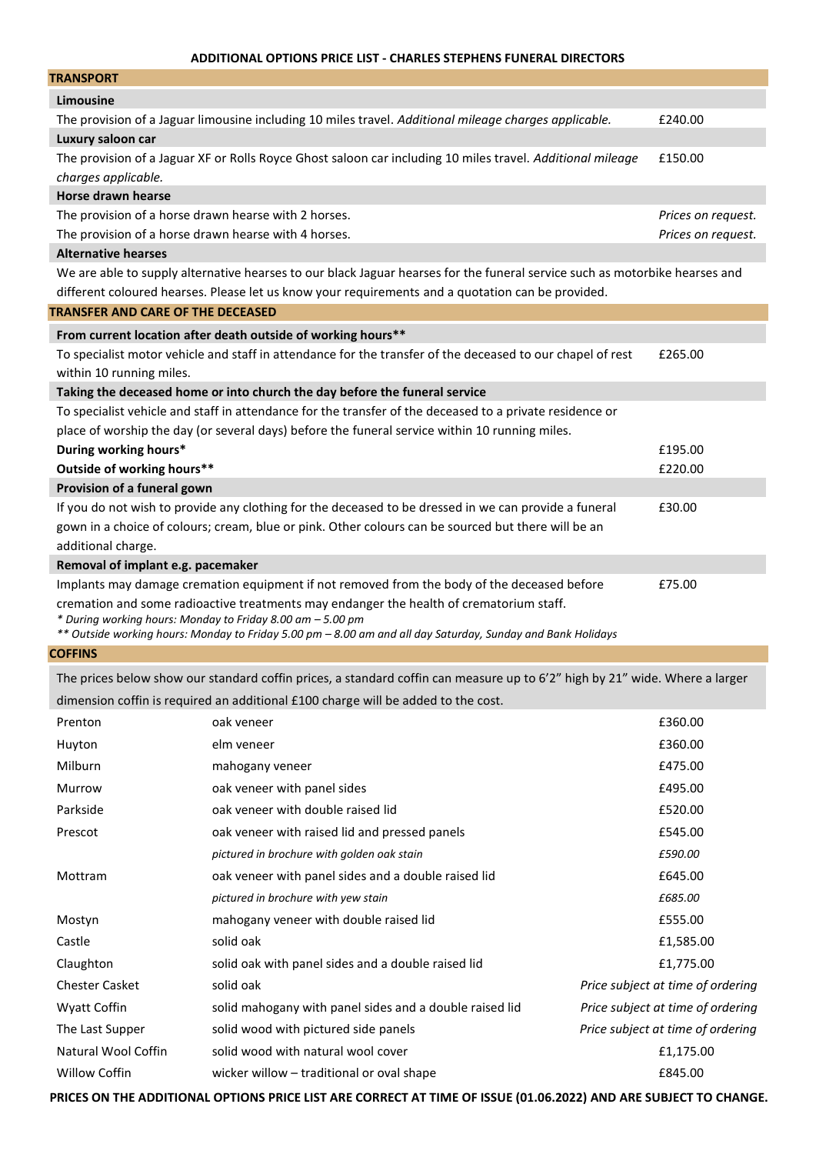## **ADDITIONAL OPTIONS PRICE LIST - CHARLES STEPHENS FUNERAL DIRECTORS**

| <b>TRANSPORT</b>                                                                                                            |                    |  |  |
|-----------------------------------------------------------------------------------------------------------------------------|--------------------|--|--|
| Limousine                                                                                                                   |                    |  |  |
| The provision of a Jaguar limousine including 10 miles travel. Additional mileage charges applicable.                       | £240.00            |  |  |
| Luxury saloon car                                                                                                           |                    |  |  |
| The provision of a Jaguar XF or Rolls Royce Ghost saloon car including 10 miles travel. Additional mileage                  | £150.00            |  |  |
| charges applicable.                                                                                                         |                    |  |  |
| <b>Horse drawn hearse</b>                                                                                                   |                    |  |  |
| The provision of a horse drawn hearse with 2 horses.                                                                        | Prices on request. |  |  |
| The provision of a horse drawn hearse with 4 horses.                                                                        | Prices on request. |  |  |
| <b>Alternative hearses</b>                                                                                                  |                    |  |  |
| We are able to supply alternative hearses to our black Jaguar hearses for the funeral service such as motorbike hearses and |                    |  |  |
| different coloured hearses. Please let us know your requirements and a quotation can be provided.                           |                    |  |  |
| <b>TRANSFER AND CARE OF THE DECEASED</b>                                                                                    |                    |  |  |
| From current location after death outside of working hours**                                                                |                    |  |  |
| To specialist motor vehicle and staff in attendance for the transfer of the deceased to our chapel of rest                  | £265.00            |  |  |
| within 10 running miles.                                                                                                    |                    |  |  |
| Taking the deceased home or into church the day before the funeral service                                                  |                    |  |  |
| To specialist vehicle and staff in attendance for the transfer of the deceased to a private residence or                    |                    |  |  |
| place of worship the day (or several days) before the funeral service within 10 running miles.                              |                    |  |  |
| During working hours*                                                                                                       | £195.00            |  |  |
| Outside of working hours**                                                                                                  | £220.00            |  |  |
| Provision of a funeral gown                                                                                                 |                    |  |  |
| If you do not wish to provide any clothing for the deceased to be dressed in we can provide a funeral                       | £30.00             |  |  |
| gown in a choice of colours; cream, blue or pink. Other colours can be sourced but there will be an                         |                    |  |  |
| additional charge.                                                                                                          |                    |  |  |
| Removal of implant e.g. pacemaker                                                                                           |                    |  |  |
| Implants may damage cremation equipment if not removed from the body of the deceased before                                 | £75.00             |  |  |
| cremation and some radioactive treatments may endanger the health of crematorium staff.                                     |                    |  |  |
| * During working hours: Monday to Friday 8.00 am - 5.00 pm                                                                  |                    |  |  |
| ** Outside working hours: Monday to Friday 5.00 pm - 8.00 am and all day Saturday, Sunday and Bank Holidays                 |                    |  |  |
| <b>COFFINS</b>                                                                                                              |                    |  |  |

The prices below show our standard coffin prices, a standard coffin can measure up to 6'2" high by 21" wide. Where a larger dimension coffin is required an additional £100 charge will be added to the cost.

| Prenton               | oak veneer                                              | £360.00                           |
|-----------------------|---------------------------------------------------------|-----------------------------------|
| Huyton                | elm veneer                                              | £360.00                           |
| Milburn               | mahogany veneer                                         | £475.00                           |
| Murrow                | oak veneer with panel sides                             | £495.00                           |
| Parkside              | oak veneer with double raised lid                       | £520.00                           |
| Prescot               | oak veneer with raised lid and pressed panels           | £545.00                           |
|                       | pictured in brochure with golden oak stain              | £590.00                           |
| Mottram               | oak veneer with panel sides and a double raised lid     | £645.00                           |
|                       | pictured in brochure with yew stain                     | £685.00                           |
| Mostyn                | mahogany veneer with double raised lid                  | £555.00                           |
| Castle                | solid oak                                               | £1,585.00                         |
| Claughton             | solid oak with panel sides and a double raised lid      | £1,775.00                         |
| <b>Chester Casket</b> | solid oak                                               | Price subject at time of ordering |
| Wyatt Coffin          | solid mahogany with panel sides and a double raised lid | Price subject at time of ordering |
| The Last Supper       | solid wood with pictured side panels                    | Price subject at time of ordering |
| Natural Wool Coffin   | solid wood with natural wool cover                      | £1,175.00                         |
| Willow Coffin         | wicker willow – traditional or oval shape               | £845.00                           |
|                       |                                                         |                                   |

PRICES ON THE ADDITIONAL OPTIONS PRICE LIST ARE CORRECT AT TIME OF ISSUE (01.06.2022) AND ARE SUBJECT TO CHANGE.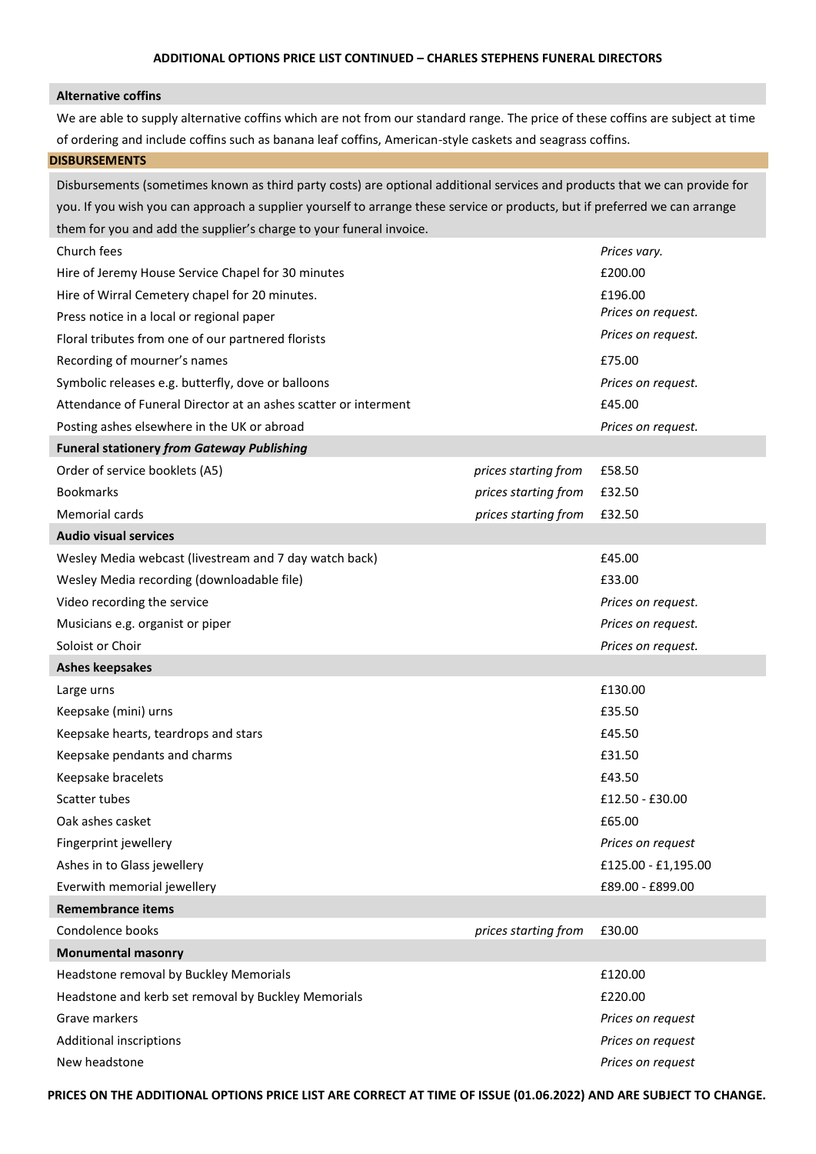## **Alternative coffins**

We are able to supply alternative coffins which are not from our standard range. The price of these coffins are subject at time of ordering and include coffins such as banana leaf coffins, American-style caskets and seagrass coffins.

# **DISBURSEMENTS**

Disbursements (sometimes known as third party costs) are optional additional services and products that we can provide for you. If you wish you can approach a supplier yourself to arrange these service or products, but if preferred we can arrange them for you and add the supplier's charge to your funeral invoice.

| Church fees                                                     |                      | Prices vary.        |
|-----------------------------------------------------------------|----------------------|---------------------|
| Hire of Jeremy House Service Chapel for 30 minutes              |                      | £200.00             |
| Hire of Wirral Cemetery chapel for 20 minutes.                  |                      | £196.00             |
| Press notice in a local or regional paper                       |                      | Prices on request.  |
| Floral tributes from one of our partnered florists              |                      | Prices on request.  |
| Recording of mourner's names                                    |                      | £75.00              |
| Symbolic releases e.g. butterfly, dove or balloons              |                      | Prices on request.  |
| Attendance of Funeral Director at an ashes scatter or interment |                      | £45.00              |
| Posting ashes elsewhere in the UK or abroad                     |                      | Prices on request.  |
| <b>Funeral stationery from Gateway Publishing</b>               |                      |                     |
| Order of service booklets (A5)                                  | prices starting from | £58.50              |
| <b>Bookmarks</b>                                                | prices starting from | £32.50              |
| Memorial cards                                                  | prices starting from | £32.50              |
| <b>Audio visual services</b>                                    |                      |                     |
| Wesley Media webcast (livestream and 7 day watch back)          |                      | £45.00              |
| Wesley Media recording (downloadable file)                      |                      | £33.00              |
| Video recording the service                                     |                      | Prices on request.  |
| Musicians e.g. organist or piper                                |                      | Prices on request.  |
| Soloist or Choir                                                |                      | Prices on request.  |
|                                                                 |                      |                     |
| <b>Ashes keepsakes</b>                                          |                      |                     |
| Large urns                                                      |                      | £130.00             |
| Keepsake (mini) urns                                            |                      | £35.50              |
| Keepsake hearts, teardrops and stars                            |                      | £45.50              |
| Keepsake pendants and charms                                    |                      | £31.50              |
| Keepsake bracelets                                              |                      | £43.50              |
| Scatter tubes                                                   |                      | £12.50 - £30.00     |
| Oak ashes casket                                                |                      | £65.00              |
| Fingerprint jewellery                                           |                      | Prices on request   |
| Ashes in to Glass jewellery                                     |                      | £125.00 - £1,195.00 |
| Everwith memorial jewellery                                     |                      | £89.00 - £899.00    |
| <b>Remembrance items</b>                                        |                      |                     |
| Condolence books                                                | prices starting from | £30.00              |
| <b>Monumental masonry</b>                                       |                      |                     |
| Headstone removal by Buckley Memorials                          |                      | £120.00             |
| Headstone and kerb set removal by Buckley Memorials             |                      | £220.00             |
| Grave markers                                                   |                      | Prices on request   |
| Additional inscriptions                                         |                      | Prices on request   |

**PRICES ON THE ADDITIONAL OPTIONS PRICE LIST ARE CORRECT AT TIME OF ISSUE (01.06.2022) AND ARE SUBJECT TO CHANGE.**